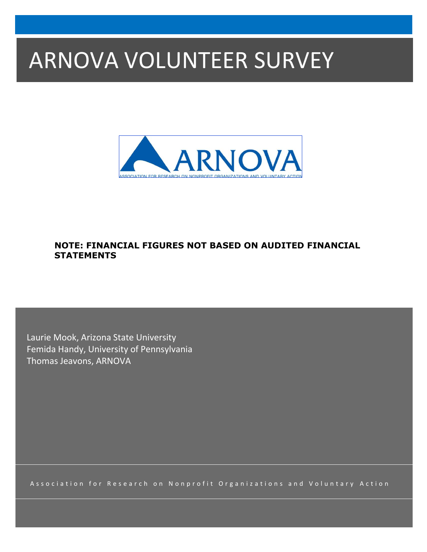# ARNOVA VOLUNTEER SURVEY



## **NOTE: FINANCIAL FIGURES NOT BASED ON AUDITED FINANCIAL STATEMENTS**

Laurie Mook, Arizona State University Femida Handy, University of Pennsylvania Thomas Jeavons, ARNOVA

Association for Research on Nonprofit Organizations and Voluntary Action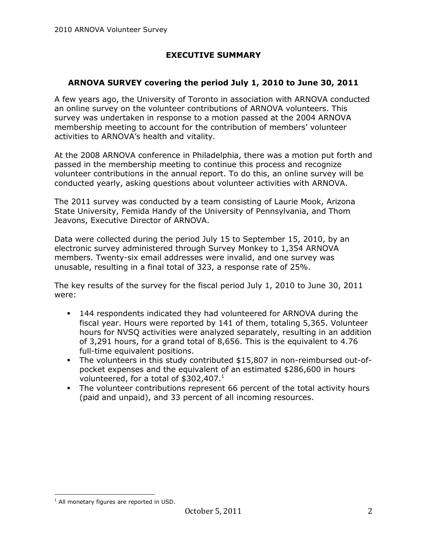## **EXECUTIVE SUMMARY**

#### **ARNOVA SURVEY covering the period July 1, 2010 to June 30, 2011**

A few years ago, the University of Toronto in association with ARNOVA conducted an online survey on the volunteer contributions of ARNOVA volunteers. This survey was undertaken in response to a motion passed at the 2004 ARNOVA membership meeting to account for the contribution of members' volunteer activities to ARNOVA's health and vitality.

At the 2008 ARNOVA conference in Philadelphia, there was a motion put forth and passed in the membership meeting to continue this process and recognize volunteer contributions in the annual report. To do this, an online survey will be conducted yearly, asking questions about volunteer activities with ARNOVA.

The 2011 survey was conducted by a team consisting of Laurie Mook, Arizona State University, Femida Handy of the University of Pennsylvania, and Thom Jeavons, Executive Director of ARNOVA.

Data were collected during the period July 15 to September 15, 2010, by an electronic survey administered through Survey Monkey to 1,354 ARNOVA members. Twenty-six email addresses were invalid, and one survey was unusable, resulting in a final total of 323, a response rate of 25%.

The key results of the survey for the fiscal period July 1, 2010 to June 30, 2011 were:

- 144 respondents indicated they had volunteered for ARNOVA during the fiscal year. Hours were reported by 141 of them, totaling 5,365. Volunteer hours for NVSQ activities were analyzed separately, resulting in an addition of 3,291 hours, for a grand total of 8,656. This is the equivalent to 4.76 full-time equivalent positions.
- The volunteers in this study contributed \$15,807 in non-reimbursed out-ofpocket expenses and the equivalent of an estimated \$286,600 in hours volunteered, for a total of  $$302,407.<sup>1</sup>$
- The volunteer contributions represent 66 percent of the total activity hours (paid and unpaid), and 33 percent of all incoming resources.

 $\overline{a}$ 

 $<sup>1</sup>$  All monetary figures are reported in USD.</sup>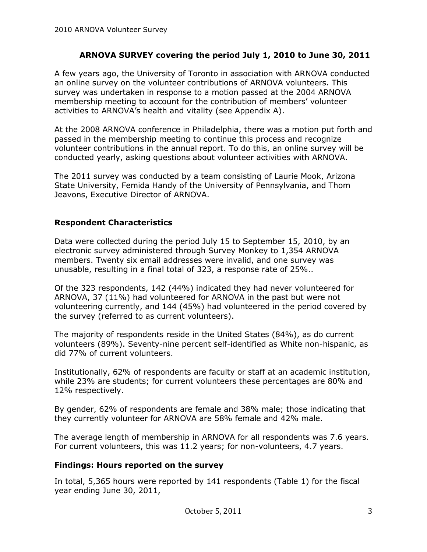#### **ARNOVA SURVEY covering the period July 1, 2010 to June 30, 2011**

A few years ago, the University of Toronto in association with ARNOVA conducted an online survey on the volunteer contributions of ARNOVA volunteers. This survey was undertaken in response to a motion passed at the 2004 ARNOVA membership meeting to account for the contribution of members' volunteer activities to ARNOVA's health and vitality (see Appendix A).

At the 2008 ARNOVA conference in Philadelphia, there was a motion put forth and passed in the membership meeting to continue this process and recognize volunteer contributions in the annual report. To do this, an online survey will be conducted yearly, asking questions about volunteer activities with ARNOVA.

The 2011 survey was conducted by a team consisting of Laurie Mook, Arizona State University, Femida Handy of the University of Pennsylvania, and Thom Jeavons, Executive Director of ARNOVA.

#### **Respondent Characteristics**

Data were collected during the period July 15 to September 15, 2010, by an electronic survey administered through Survey Monkey to 1,354 ARNOVA members. Twenty six email addresses were invalid, and one survey was unusable, resulting in a final total of 323, a response rate of 25%..

Of the 323 respondents, 142 (44%) indicated they had never volunteered for ARNOVA, 37 (11%) had volunteered for ARNOVA in the past but were not volunteering currently, and 144 (45%) had volunteered in the period covered by the survey (referred to as current volunteers).

The majority of respondents reside in the United States (84%), as do current volunteers (89%). Seventy-nine percent self-identified as White non-hispanic, as did 77% of current volunteers.

Institutionally, 62% of respondents are faculty or staff at an academic institution, while 23% are students; for current volunteers these percentages are 80% and 12% respectively.

By gender, 62% of respondents are female and 38% male; those indicating that they currently volunteer for ARNOVA are 58% female and 42% male.

The average length of membership in ARNOVA for all respondents was 7.6 years. For current volunteers, this was 11.2 years; for non-volunteers, 4.7 years.

#### **Findings: Hours reported on the survey**

In total, 5,365 hours were reported by 141 respondents (Table 1) for the fiscal year ending June 30, 2011,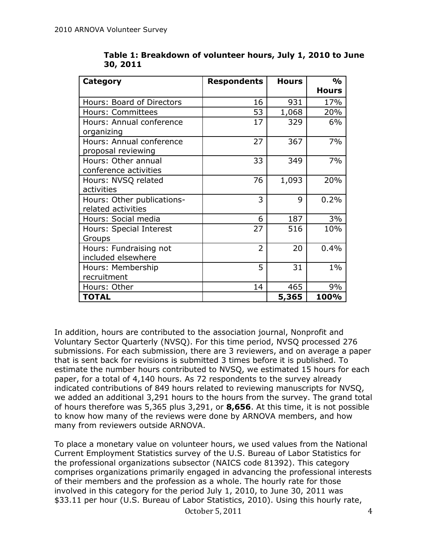| <b>Category</b>            | <b>Respondents</b> | <b>Hours</b> | $\frac{0}{0}$ |
|----------------------------|--------------------|--------------|---------------|
|                            |                    |              | <b>Hours</b>  |
| Hours: Board of Directors  | 16                 | 931          | 17%           |
| Hours: Committees          | 53                 | 1,068        | 20%           |
| Hours: Annual conference   | 17                 | 329          | 6%            |
| organizing                 |                    |              |               |
| Hours: Annual conference   | 27                 | 367          | 7%            |
| proposal reviewing         |                    |              |               |
| Hours: Other annual        | 33                 | 349          | 7%            |
| conference activities      |                    |              |               |
| Hours: NVSQ related        | 76                 | 1,093        | 20%           |
| activities                 |                    |              |               |
| Hours: Other publications- | 3                  | 9            | 0.2%          |
| related activities         |                    |              |               |
| Hours: Social media        | 6                  | 187          | 3%            |
| Hours: Special Interest    | 27                 | 516          | 10%           |
| Groups                     |                    |              |               |
| Hours: Fundraising not     | $\overline{2}$     | 20           | 0.4%          |
| included elsewhere         |                    |              |               |
| Hours: Membership          | 5                  | 31           | $1\%$         |
| recruitment                |                    |              |               |
| Hours: Other               | 14                 | 465          | 9%            |
| <b>TOTAL</b>               |                    | 5,365        | 100%          |

**Table 1: Breakdown of volunteer hours, July 1, 2010 to June 30, 2011**

In addition, hours are contributed to the association journal, Nonprofit and Voluntary Sector Quarterly (NVSQ). For this time period, NVSQ processed 276 submissions. For each submission, there are 3 reviewers, and on average a paper that is sent back for revisions is submitted 3 times before it is published. To estimate the number hours contributed to NVSQ, we estimated 15 hours for each paper, for a total of 4,140 hours. As 72 respondents to the survey already indicated contributions of 849 hours related to reviewing manuscripts for NVSQ, we added an additional 3,291 hours to the hours from the survey. The grand total of hours therefore was 5,365 plus 3,291, or **8,656**. At this time, it is not possible to know how many of the reviews were done by ARNOVA members, and how many from reviewers outside ARNOVA.

To place a monetary value on volunteer hours, we used values from the National Current Employment Statistics survey of the U.S. Bureau of Labor Statistics for the professional organizations subsector (NAICS code 81392). This category comprises organizations primarily engaged in advancing the professional interests of their members and the profession as a whole. The hourly rate for those involved in this category for the period July 1, 2010, to June 30, 2011 was \$33.11 per hour (U.S. Bureau of Labor Statistics, 2010). Using this hourly rate,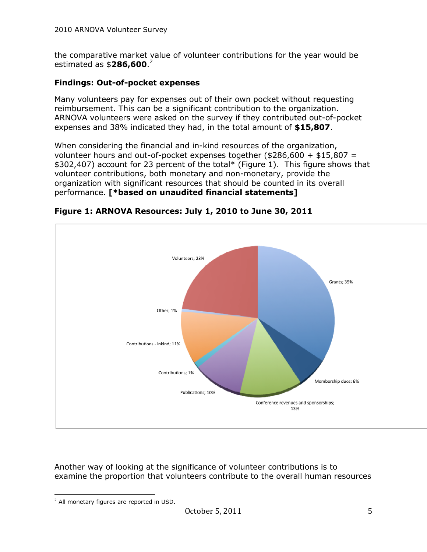the comparative market value of volunteer contributions for the year would be estimated as \$**286,600**. 2

## **Findings: Out-of-pocket expenses**

Many volunteers pay for expenses out of their own pocket without requesting reimbursement. This can be a significant contribution to the organization. ARNOVA volunteers were asked on the survey if they contributed out-of-pocket expenses and 38% indicated they had, in the total amount of **\$15,807**.

When considering the financial and in-kind resources of the organization, volunteer hours and out-of-pocket expenses together (\$286,600 + \$15,807 = \$302,407) account for 23 percent of the total\* (Figure 1). This figure shows that volunteer contributions, both monetary and non-monetary, provide the organization with significant resources that should be counted in its overall performance. **[\*based on unaudited financial statements]**



**Figure 1: ARNOVA Resources: July 1, 2010 to June 30, 2011**

Another way of looking at the significance of volunteer contributions is to examine the proportion that volunteers contribute to the overall human resources

 $\overline{a}$ <sup>2</sup> All monetary figures are reported in USD.